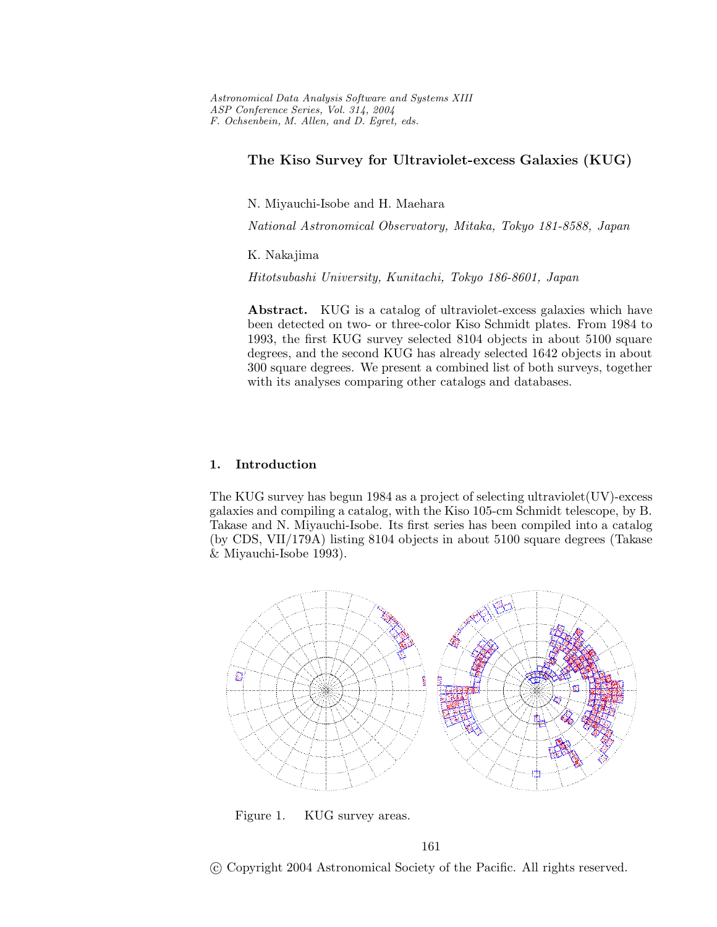# **The Kiso Survey for Ultraviolet-excess Galaxies (KUG)**

N. Miyauchi-Isobe and H. Maehara

*National Astronomical Observatory, Mitaka, Tokyo 181-8588, Japan*

K. Nakajima

*Hitotsubashi University, Kunitachi, Tokyo 186-8601, Japan*

Abstract. KUG is a catalog of ultraviolet-excess galaxies which have been detected on two- or three-color Kiso Schmidt plates. From 1984 to 1993, the first KUG survey selected 8104 objects in about 5100 square degrees, and the second KUG has already selected 1642 objects in about 300 square degrees. We present a combined list of both surveys, together with its analyses comparing other catalogs and databases.

## **1. Introduction**

The KUG survey has begun 1984 as a project of selecting ultraviolet(UV)-excess galaxies and compiling a catalog, with the Kiso 105-cm Schmidt telescope, by B. Takase and N. Miyauchi-Isobe. Its first series has been compiled into a catalog (by CDS, VII/179A) listing 8104 objects in about 5100 square degrees (Takase & Miyauchi-Isobe 1993).



Figure 1. KUG survey areas.

161

c Copyright 2004 Astronomical Society of the Pacific. All rights reserved.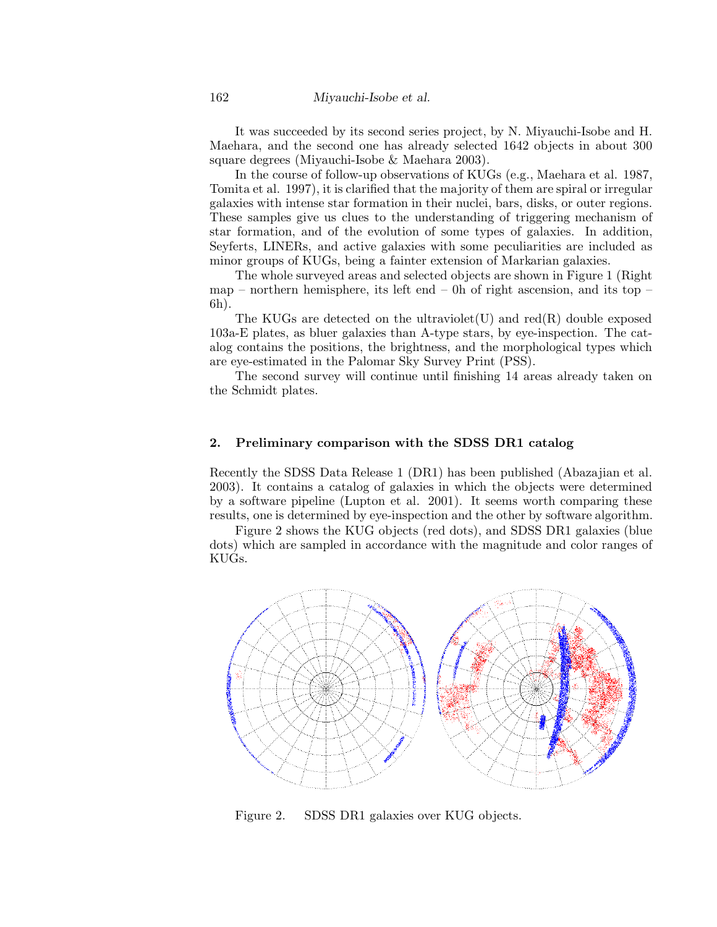#### 162 *Miyauchi-Isobe et al.*

It was succeeded by its second series project, by N. Miyauchi-Isobe and H. Maehara, and the second one has already selected 1642 objects in about 300 square degrees (Miyauchi-Isobe & Maehara 2003).

In the course of follow-up observations of KUGs (e.g., Maehara et al. 1987, Tomita et al. 1997), it is clarified that the majority of them are spiral or irregular galaxies with intense star formation in their nuclei, bars, disks, or outer regions. These samples give us clues to the understanding of triggering mechanism of star formation, and of the evolution of some types of galaxies. In addition, Seyferts, LINERs, and active galaxies with some peculiarities are included as minor groups of KUGs, being a fainter extension of Markarian galaxies.

The whole surveyed areas and selected objects are shown in Figure 1 (Right map – northern hemisphere, its left end – 0h of right ascension, and its top – 6h).

The KUGs are detected on the ultraviolet  $(U)$  and red $(R)$  double exposed 103a-E plates, as bluer galaxies than A-type stars, by eye-inspection. The catalog contains the positions, the brightness, and the morphological types which are eye-estimated in the Palomar Sky Survey Print (PSS).

The second survey will continue until finishing 14 areas already taken on the Schmidt plates.

#### **2. Preliminary comparison with the SDSS DR1 catalog**

Recently the SDSS Data Release 1 (DR1) has been published (Abazajian et al. 2003). It contains a catalog of galaxies in which the objects were determined by a software pipeline (Lupton et al. 2001). It seems worth comparing these results, one is determined by eye-inspection and the other by software algorithm.

Figure 2 shows the KUG objects (red dots), and SDSS DR1 galaxies (blue dots) which are sampled in accordance with the magnitude and color ranges of KUGs.



Figure 2. SDSS DR1 galaxies over KUG objects.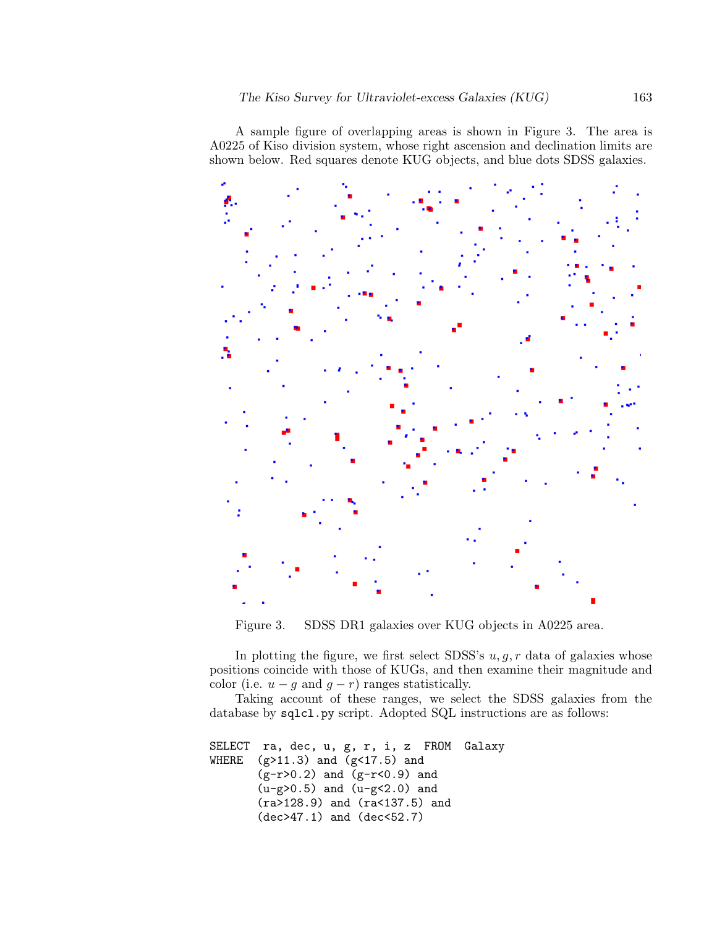A sample figure of overlapping areas is shown in Figure 3. The area is A0225 of Kiso division system, whose right ascension and declination limits are shown below. Red squares denote KUG objects, and blue dots SDSS galaxies.



Figure 3. SDSS DR1 galaxies over KUG objects in A0225 area.

In plotting the figure, we first select SDSS's *u, g, r* data of galaxies whose positions coincide with those of KUGs, and then examine their magnitude and color (i.e.  $u - g$  and  $g - r$ ) ranges statistically.

Taking account of these ranges, we select the SDSS galaxies from the database by sqlcl.py script. Adopted SQL instructions are as follows:

```
SELECT ra, dec, u, g, r, i, z FROM Galaxy<br>WHERE (g > 11.3) and (g < 17.5) and
(g>11.3) and (g<17.5) and
(g-r>0.2) and (g-r<0.9) and
(u-g>0.5) and (u-g<2.0) and
(ra>128.9) and (ra<137.5) and
(dec>47.1) and (dec<52.7)
```